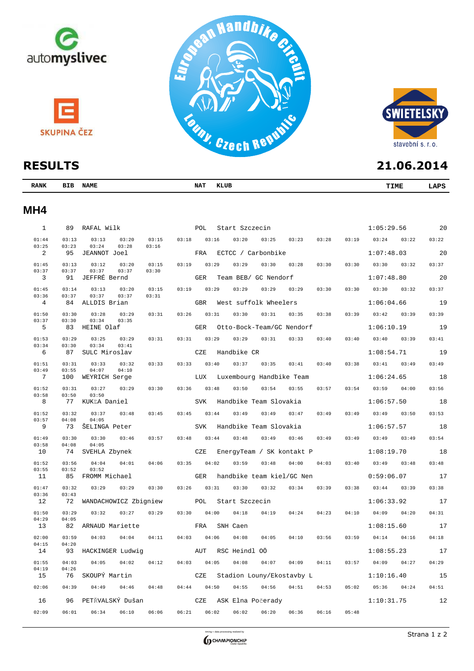



| <b>RANK</b> | BIB | <b>NAME</b> | NAT. | KLUB           | TIME       | LAPS |
|-------------|-----|-------------|------|----------------|------------|------|
| MH4         |     |             |      |                |            |      |
|             | 89  | RAFAL Wilk  | POL  | Start Szczecin | 1:05:29.56 | 20   |

| 01:44                   | 03:13          | 03:13<br>03:20                   | 03:15<br>03:18 |            | 03:16 | 03:20             | 03:25                    | 03:23                     | 03:28 | 03:19 | 03:24      | 03:22 | 03:22 |
|-------------------------|----------------|----------------------------------|----------------|------------|-------|-------------------|--------------------------|---------------------------|-------|-------|------------|-------|-------|
| 03:25<br>$\overline{2}$ | 03:23<br>95    | 03:24<br>03:28<br>JEANNOT Joel   | 03:16          | FRA        |       |                   | ECTCC / Carbonbike       |                           |       |       | 1:07:48.03 |       | 20    |
| 01:45                   | 03:13          | 03:12<br>03:20                   | 03:19<br>03:15 |            | 03:29 | 03:29             | 03:30                    | 03:28                     | 03:30 | 03:30 | 03:30      | 03:32 | 03:37 |
| 03:37<br>3              | 03:37<br>91    | 03:37<br>03:37<br>JEFFRÉ Bernd   | 03:30          | <b>GER</b> |       |                   | Team BEB/ GC Nendorf     |                           |       |       | 1:07:48.80 |       | 20    |
| 01:45                   | 03:14          | 03:13<br>03:20                   | 03:15<br>03:19 |            | 03:29 | 03:29             | 03:29                    | 03:29                     | 03:30 | 03:30 | 03:30      | 03:32 | 03:37 |
| 03:36                   | 03:37          | 03:37<br>03:37                   | 03:31          |            |       |                   |                          |                           |       |       |            |       |       |
| 4                       | 84             | ALLDIS Brian                     |                | <b>GBR</b> |       |                   | West suffolk Wheelers    |                           |       |       | 1:06:04.66 |       | 19    |
| 01:50<br>03:37          | 03:30<br>03:30 | 03:28<br>03:29<br>03:34<br>03:35 | 03:31<br>03:26 |            | 03:31 | 03:30             | 03:31                    | 03:35                     | 03:38 | 03:39 | 03:42      | 03:39 | 03:39 |
| 5                       | 83             | HEINE Olaf                       |                | <b>GER</b> |       |                   |                          | Otto-Bock-Team/GC Nendorf |       |       | 1:06:10.19 |       | 19    |
| 01:53                   | 03:29          | 03:25<br>03:29                   | 03:31<br>03:31 |            | 03:29 | 03:29             | 03:31                    | 03:33                     | 03:40 | 03:40 | 03:40      | 03:39 | 03:41 |
| 03:34<br>6              | 03:30<br>87    | 03:34<br>03:41<br>SULC Miroslav  |                | CZE        |       | Handbike CR       |                          |                           |       |       | 1:08:54.71 |       | 19    |
| 01:51                   | 03:31          | 03:33<br>03:32                   | 03:33<br>03:33 |            | 03:40 | 03:37             | 03:35                    | 03:41                     | 03:40 | 03:38 | 03:41      | 03:49 | 03:49 |
| 03:49<br>7              | 03:55<br>100   | 04:07<br>04:10<br>WEYRICH Serge  |                | LUX        |       |                   | Luxembourg Handbike Team |                           |       |       | 1:06:24.65 |       | 18    |
| 01:52                   | 03:31          | 03:27<br>03:29                   | 03:30<br>03:36 |            | 03:48 | 03:50             | 03:54                    | 03:55                     | 03:57 | 03:54 | 03:59      | 04:00 | 03:56 |
| 03:58                   | 03:50          | 03:50                            |                |            |       |                   |                          |                           |       |       |            |       |       |
| 8                       | 77             | KUKĽA Daniel                     |                | <b>SVK</b> |       |                   | Handbike Team Slovakia   |                           |       |       | 1:06:57.50 |       | 18    |
| 01:52<br>03:57          | 03:32<br>04:08 | 03:37<br>03:48<br>04:05          | 03:45<br>03:45 |            | 03:44 | 03:49             | 03:49                    | 03:47                     | 03:49 | 03:49 | 03:49      | 03:50 | 03:53 |
| 9                       | 73             | ŠELINGA Peter                    |                | <b>SVK</b> |       |                   | Handbike Team Slovakia   |                           |       |       | 1:06:57.57 |       | 18    |
| 01:49                   | 03:30          | 03:30<br>03:46                   | 03:57<br>03:48 |            | 03:44 | 03:48             | 03:49                    | 03:46                     | 03:49 | 03:49 | 03:49      | 03:49 | 03:54 |
| 03:58<br>10             | 04:08<br>74    | 04:05<br>SVEHLA Zbynek           |                | CZE        |       |                   |                          | EnergyTeam / SK kontakt P |       |       | 1:08:19.70 |       | 18    |
| 01:52                   | 03:56          | 04:04<br>04:01                   | 03:35<br>04:06 |            | 04:02 | 03:59             | 03:48                    | 04:00                     | 04:03 | 03:40 | 03:49      | 03:48 | 03:48 |
| 03:55<br>11             | 03:52<br>85    | 03:52<br>FROMM Michael           |                | <b>GER</b> |       |                   |                          | handbike team kiel/GC Nen |       |       | 0:59:06.07 |       | 17    |
| 01:47                   | 03:32          | 03:29<br>03:29                   | 03:30<br>03:26 |            | 03:31 | 03:30             | 03:32                    | 03:34                     | 03:39 | 03:38 | 03:44      | 03:39 | 03:38 |
| 03:36                   | 03:43          |                                  |                |            |       |                   |                          |                           |       |       |            |       |       |
| 12                      | 72             | WANDACHOWICZ Zbigniew            |                | POL        |       | Start Szczecin    |                          |                           |       |       | 1:06:33.92 |       | 17    |
| 01:50<br>04:29          | 03:29<br>04:05 | 03:32<br>03:27                   | 03:30<br>03:29 |            | 04:00 | 04:18             | 04:19                    | 04:24                     | 04:23 | 04:10 | 04:09      | 04:20 | 04:31 |
| 13                      | 82             | ARNAUD Mariette                  |                | FRA        |       | SNH Caen          |                          |                           |       |       | 1:08:15.60 |       | 17    |
| 02:00<br>04:15          | 03:59<br>04:20 | 04:03<br>04:04                   | 04:11<br>04:03 |            | 04:06 | 04:08             | 04:05                    | 04:10                     | 03:56 | 03:59 | 04:14      | 04:16 | 04:18 |
| 14                      | 93             | HACKINGER Ludwig                 |                | AUT        |       | RSC Heindl OÖ     |                          |                           |       |       | 1:08:55.23 |       | 17    |
| 01:55                   | 04:03          | 04:05<br>04:02                   | 04:03<br>04:12 |            | 04:05 | 04:08             | 04:07                    | 04:09                     | 04:11 | 03:57 | 04:09      | 04:27 | 04:29 |
| 04:19<br>15             | 04:26<br>76    | SKOUPÝ Martin                    |                | CZE        |       |                   |                          | Stadion Louny/Ekostavby L |       |       | 1:10:16.40 |       | 15    |
| 02:06                   | 04:39          | 04:49<br>04:46                   | 04:48<br>04:44 |            | 04:50 | 04:55             | 04:56                    | 04:51                     | 04:53 | 05:02 | 05:36      | 04:24 | 04:51 |
| 16                      | 96             | PETŘVALSKÝ Dušan                 |                | CZE        |       | ASK Elna Počerady |                          |                           |       |       | 1:10:31.75 |       | 12    |
| 02:09                   | 06:01          | 06:34<br>06:10                   | 06:21<br>06:06 |            | 06:02 | 06:02             | 06:20                    | 06:36                     | 06:16 | 05:48 |            |       |       |
|                         |                |                                  |                |            |       |                   |                          |                           |       |       |            |       |       |